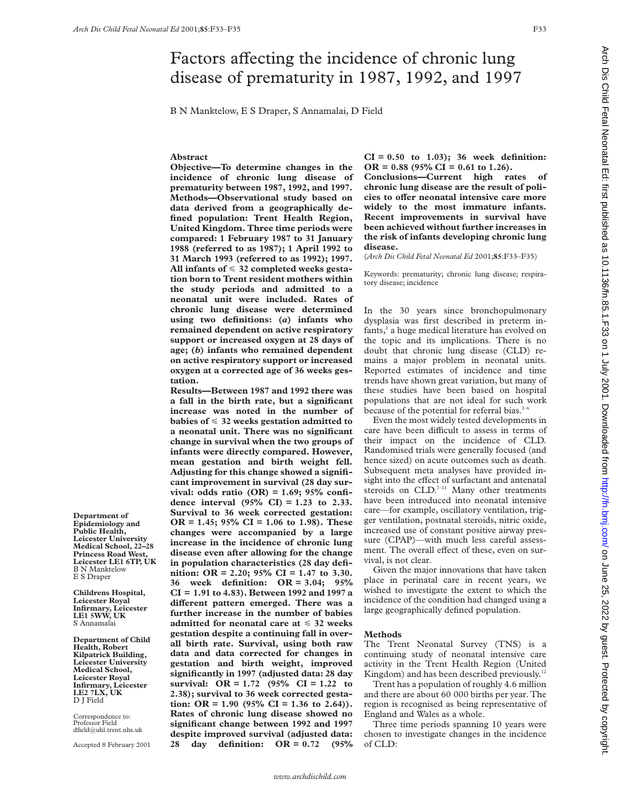B N Manktelow, E S Draper, S Annamalai, D Field

# **Abstract**

**Objective—To determine changes in the incidence of chronic lung disease of prematurity between 1987, 1992, and 1997. Methods—Observational study based on data derived from a geographically defined population: Trent Health Region, United Kingdom. Three time periods were compared: 1 February 1987 to 31 January 1988 (referred to as 1987); 1 April 1992 to 31 March 1993 (referred to as 1992); 1997. All infants of** < **32 completed weeks gestation born to Trent resident mothers within the study periods and admitted to a neonatal unit were included. Rates of chronic lung disease were determined using two definitions: (***a***) infants who remained dependent on active respiratory support or increased oxygen at 28 days of age; (***b***) infants who remained dependent on active respiratory support or increased oxygen at a corrected age of 36 weeks gestation.**

**Results—Between 1987 and 1992 there was a fall in the birth rate, but a significant increase was noted in the number of babies of** < **32 weeks gestation admitted to a neonatal unit. There was no significant change in survival when the two groups of infants were directly compared. However, mean gestation and birth weight fell. Adjusting for this change showed a significant improvement in survival (28 day survival: odds ratio (OR) = 1.69; 95% confidence interval (95% CI) = 1.23 to 2.33. Survival to 36 week corrected gestation: OR = 1.45; 95% CI = 1.06 to 1.98). These changes were accompanied by a large increase in the incidence of chronic lung disease even after allowing for the change in population characteristics (28 day definition: OR = 2.20; 95% CI = 1.47 to 3.30. 36 week definition: OR = 3.04; 95% CI = 1.91 to 4.83). Between 1992 and 1997 a diVerent pattern emerged. There was a further increase in the number of babies admitted for neonatal care at** < **32 weeks gestation despite a continuing fall in overall birth rate. Survival, using both raw data and data corrected for changes in gestation and birth weight, improved significantly in 1997 (adjusted data: 28 day survival: OR = 1.72 (95% CI = 1.22 to 2.38); survival to 36 week corrected gestation:** OR = 1.90 (95% CI = 1.36 to 2.64)). **Rates of chronic lung disease showed no significant change between 1992 and 1997 despite improved survival (adjusted data: 28 day definition: OR = 0.72 (95%**

**CI = 0.50 to 1.03); 36 week definition: OR = 0.88 (95% CI = 0.61 to 1.26).**

**Conclusions—Current high rates of chronic lung disease are the result of policies to oVer neonatal intensive care more widely to the most immature infants. Recent improvements in survival have been achieved without further increases in the risk of infants developing chronic lung disease.**

(*Arch Dis Child Fetal Neonatal Ed* 2001;**85**:F33–F35)

Keywords: prematurity; chronic lung disease; respiratory disease; incidence

In the 30 years since bronchopulmonary dysplasia was first described in preterm infants,<sup>1</sup> a huge medical literature has evolved on the topic and its implications. There is no doubt that chronic lung disease (CLD) remains a major problem in neonatal units. Reported estimates of incidence and time trends have shown great variation, but many of these studies have been based on hospital populations that are not ideal for such work because of the potential for referral bias.<sup>2-6</sup>

Even the most widely tested developments in care have been difficult to assess in terms of their impact on the incidence of CLD. Randomised trials were generally focused (and hence sized) on acute outcomes such as death. Subsequent meta analyses have provided insight into the effect of surfactant and antenatal steroids on  $CLD$ .<sup>7-11</sup> Many other treatments have been introduced into neonatal intensive care—for example, oscillatory ventilation, trigger ventilation, postnatal steroids, nitric oxide, increased use of constant positive airway pressure (CPAP)—with much less careful assessment. The overall effect of these, even on survival, is not clear.

Given the major innovations that have taken place in perinatal care in recent years, we wished to investigate the extent to which the incidence of the condition had changed using a large geographically defined population.

#### **Methods**

The Trent Neonatal Survey (TNS) is a continuing study of neonatal intensive care activity in the Trent Health Region (United Kingdom) and has been described previously.<sup>12</sup>

Trent has a population of roughly 4.6 million and there are about 60 000 births per year. The region is recognised as being representative of England and Wales as a whole.

Three time periods spanning 10 years were chosen to investigate changes in the incidence of CLD:

**Department of Epidemiology and Public Health, Leicester University Medical School, 22–28 Princess Road West, Leicester LE1 6TP, UK** B N Manktelow E S Draper

**Childrens Hospital, Leicester Royal Infirmary, Leicester LE1 5WW, UK** S Annamalai

**Department of Child Health, Robert Kilpatrick Building, Leicester University Medical School, Leicester Royal Infirmary, Leicester LE2 7LX, UK** D J Field

Correspondence to: Professor Field dfield@uhl.trent.nhs.uk

Accepted 8 February 2001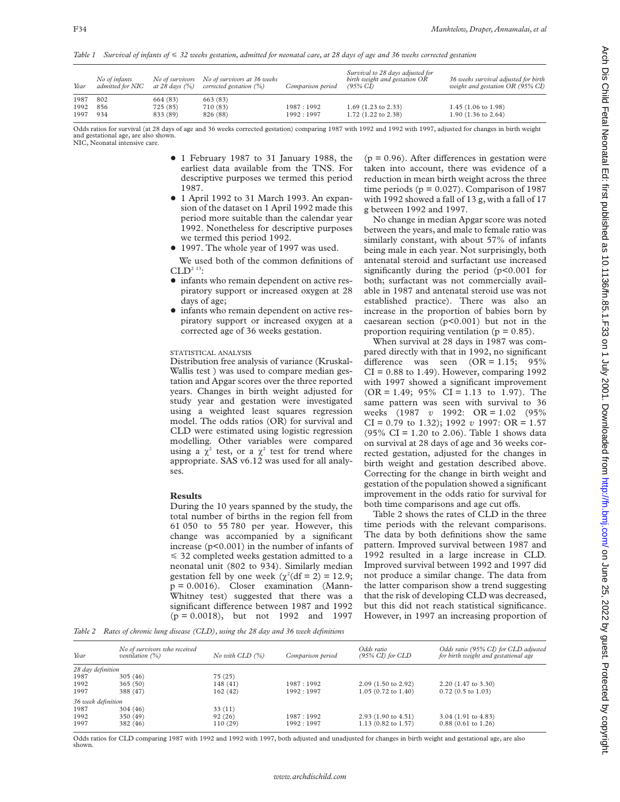*Table 1 Survival of infants of* < *32 weeks gestation, admitted for neonatal care, at 28 days of age and 36 weeks corrected gestation*

| Year | No of infants<br>admitted for NIC | at 28 days (%) | No of survivors No of survivors at 36 weeks<br>corrected gestation $(\%)$ | Comparison period | Survival to 28 days adjusted for<br>birth weight and gestation OR<br>$(95\% \ CI)$ | 36 weeks survival adjusted for birth<br>weight and gestation OR (95% CI) |
|------|-----------------------------------|----------------|---------------------------------------------------------------------------|-------------------|------------------------------------------------------------------------------------|--------------------------------------------------------------------------|
| 1987 | 802                               | 664 (83)       | 663(83)                                                                   |                   |                                                                                    |                                                                          |
| 1992 | 856                               | 725(85)        | 710 (83)                                                                  | 1987:1992         | $1.69$ (1.23 to 2.33)                                                              | $1.45$ (1.06 to 1.98)                                                    |
| 1997 | 934                               | 833 (89)       | 826 (88)                                                                  | 1992:1997         | $1.72$ (1.22 to 2.38)                                                              | $1.90(1.36 \text{ to } 2.64)$                                            |

Odds ratios for survival (at 28 days of age and 36 weeks corrected gestation) comparing 1987 with 1992 and 1992 with 1997, adjusted for changes in birth weight and gestational age, are also shown. NIC, Neonatal intensive care.

- + 1 February 1987 to 31 January 1988, the earliest data available from the TNS. For descriptive purposes we termed this period 1987.
- $\bullet$  1 April 1992 to 31 March 1993. An expansion of the dataset on 1 April 1992 made this period more suitable than the calendar year 1992. Nonetheless for descriptive purposes we termed this period 1992.
- + 1997. The whole year of 1997 was used. We used both of the common definitions of  $CLD<sup>2</sup>$ <sup>13</sup>:
- infants who remain dependent on active respiratory support or increased oxygen at 28 days of age;
- $\bullet$  infants who remain dependent on active respiratory support or increased oxygen at a corrected age of 36 weeks gestation.

## STATISTICAL ANALYSIS

Distribution free analysis of variance (Kruskal-Wallis test ) was used to compare median gestation and Apgar scores over the three reported years. Changes in birth weight adjusted for study year and gestation were investigated using a weighted least squares regression model. The odds ratios (OR) for survival and CLD were estimated using logistic regression modelling. Other variables were compared using a  $\chi^2$  test, or a  $\chi^2$  test for trend where appropriate. SAS v6.12 was used for all analyses.

### **Results**

During the 10 years spanned by the study, the total number of births in the region fell from 61 050 to 55 780 per year. However, this change was accompanied by a significant increase (p<0.001) in the number of infants of  $\leq$  32 completed weeks gestation admitted to a neonatal unit (802 to 934). Similarly median gestation fell by one week  $(\chi^2(df = 2) = 12.9;$  $p = 0.0016$ . Closer examination (Mann-Whitney test) suggested that there was a significant difference between 1987 and 1992 (p = 0.0018), but not 1992 and 1997

 $(p = 0.96)$ . After differences in gestation were taken into account, there was evidence of a reduction in mean birth weight across the three time periods ( $p = 0.027$ ). Comparison of 1987 with 1992 showed a fall of 13 g, with a fall of 17 g between 1992 and 1997.

No change in median Apgar score was noted between the years, and male to female ratio was similarly constant, with about 57% of infants being male in each year. Not surprisingly, both antenatal steroid and surfactant use increased significantly during the period (p<0.001 for both; surfactant was not commercially available in 1987 and antenatal steroid use was not established practice). There was also an increase in the proportion of babies born by caesarean section (p<0.001) but not in the proportion requiring ventilation ( $p = 0.85$ ).

When survival at 28 days in 1987 was compared directly with that in 1992, no significant difference was seen  $(OR = 1.15; 95\%)$  $CI = 0.88$  to 1.49). However, comparing 1992 with 1997 showed a significant improvement  $(OR = 1.49; 95\% \text{ CI} = 1.13 \text{ to } 1.97)$ . The same pattern was seen with survival to 36 weeks (1987 *v* 1992: OR = 1.02 (95% CI = 0.79 to 1.32); 1992 *v* 1997: OR = 1.57 (95% CI = 1.20 to 2.06). Table 1 shows data on survival at 28 days of age and 36 weeks corrected gestation, adjusted for the changes in birth weight and gestation described above. Correcting for the change in birth weight and gestation of the population showed a significant improvement in the odds ratio for survival for both time comparisons and age cut offs.

Table 2 shows the rates of CLD in the three time periods with the relevant comparisons. The data by both definitions show the same pattern. Improved survival between 1987 and 1992 resulted in a large increase in CLD. Improved survival between 1992 and 1997 did not produce a similar change. The data from the latter comparison show a trend suggesting that the risk of developing CLD was decreased, but this did not reach statistical significance. However, in 1997 an increasing proportion of

*Table 2 Rates of chronic lung disease (CLD), using the 28 day and 36 week definitions*

| Year               | No of survivors who received<br>ventilation $(\%)$ | $No$ with $CLD$ $(%)$ | Comparison period | Odds ratio<br>$(95\% \ CI)$ for $CLD$ | Odds ratio (95% CI) for CLD adjusted<br>for birth weight and gestational age |
|--------------------|----------------------------------------------------|-----------------------|-------------------|---------------------------------------|------------------------------------------------------------------------------|
| 28 day definition  |                                                    |                       |                   |                                       |                                                                              |
| 1987               | 305(46)                                            | 75(25)                |                   |                                       |                                                                              |
| 1992               | 365(50)                                            | 148(41)               | 1987:1992         | $2.09(1.50 \text{ to } 2.92)$         | 2.20 (1.47 to 3.30)                                                          |
| 1997               | 388 (47)                                           | 162(42)               | 1992:1997         | $1.05(0.72 \text{ to } 1.40)$         | $0.72$ (0.5 to 1.03)                                                         |
| 36 week definition |                                                    |                       |                   |                                       |                                                                              |
| 1987               | 304(46)                                            | 33(11)                |                   |                                       |                                                                              |
| 1992               | 350 (49)                                           | 92(26)                | 1987:1992         | $2.93(1.90 \text{ to } 4.51)$         | $3.04$ (1.91 to 4.83)                                                        |
| 1997               | 382 (46)                                           | 110(29)               | 1992:1997         | $1.13$ (0.82 to 1.57)                 | $0.88$ (0.61 to 1.26)                                                        |

Odds ratios for CLD comparing 1987 with 1992 and 1992 with 1997, both adjusted and unadjusted for changes in birth weight and gestational age, are also shown.